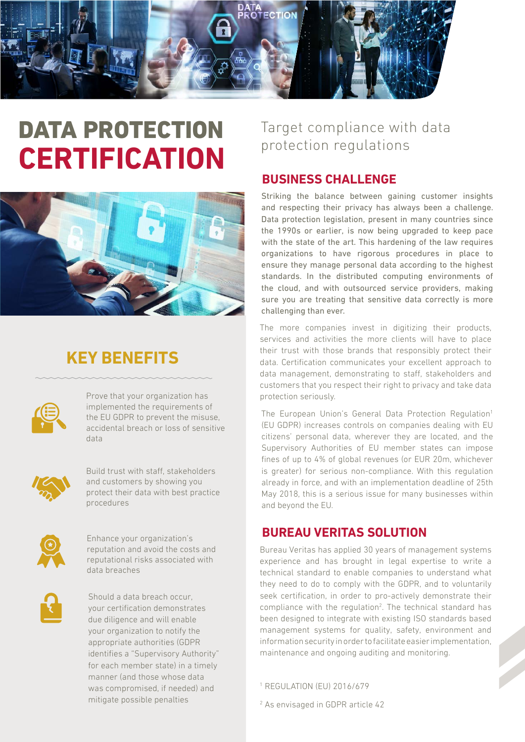

## DATA PROTECTION **CERTIFICATION**



## **KEY BENEFITS**



Prove that your organization has implemented the requirements of the EU GDPR to prevent the misuse, accidental breach or loss of sensitive data



Build trust with staff, stakeholders and customers by showing you protect their data with best practice procedures



Enhance your organization's reputation and avoid the costs and reputational risks associated with data breaches



Should a data breach occur, your certification demonstrates due diligence and will enable your organization to notify the appropriate authorities (GDPR identifies a "Supervisory Authority" for each member state) in a timely manner (and those whose data was compromised, if needed) and mitigate possible penalties

### Target compliance with data protection regulations

#### **BUSINESS CHALLENGE**

Striking the balance between gaining customer insights and respecting their privacy has always been a challenge. Data protection legislation, present in many countries since the 1990s or earlier, is now being upgraded to keep pace with the state of the art. This hardening of the law requires organizations to have rigorous procedures in place to ensure they manage personal data according to the highest standards. In the distributed computing environments of the cloud, and with outsourced service providers, making sure you are treating that sensitive data correctly is more challenging than ever.

The more companies invest in digitizing their products, services and activities the more clients will have to place their trust with those brands that responsibly protect their data. Certification communicates your excellent approach to data management, demonstrating to staff, stakeholders and customers that you respect their right to privacy and take data protection seriously.

The European Union's General Data Protection Regulation<sup>1</sup> (EU GDPR) increases controls on companies dealing with EU citizens' personal data, wherever they are located, and the Supervisory Authorities of EU member states can impose fines of up to 4% of global revenues (or EUR 20m, whichever is greater) for serious non-compliance. With this regulation already in force, and with an implementation deadline of 25th May 2018, this is a serious issue for many businesses within and beyond the EU.

#### **BUREAU VERITAS SOLUTION**

Bureau Veritas has applied 30 years of management systems experience and has brought in legal expertise to write a technical standard to enable companies to understand what they need to do to comply with the GDPR, and to voluntarily seek certification, in order to pro-actively demonstrate their compliance with the regulation<sup>2</sup>. The technical standard has been designed to integrate with existing ISO standards based management systems for quality, safety, environment and information security in order to facilitate easier implementation, maintenance and ongoing auditing and monitoring.

1 REGULATION (EU) 2016/679

2 As envisaged in GDPR article 42